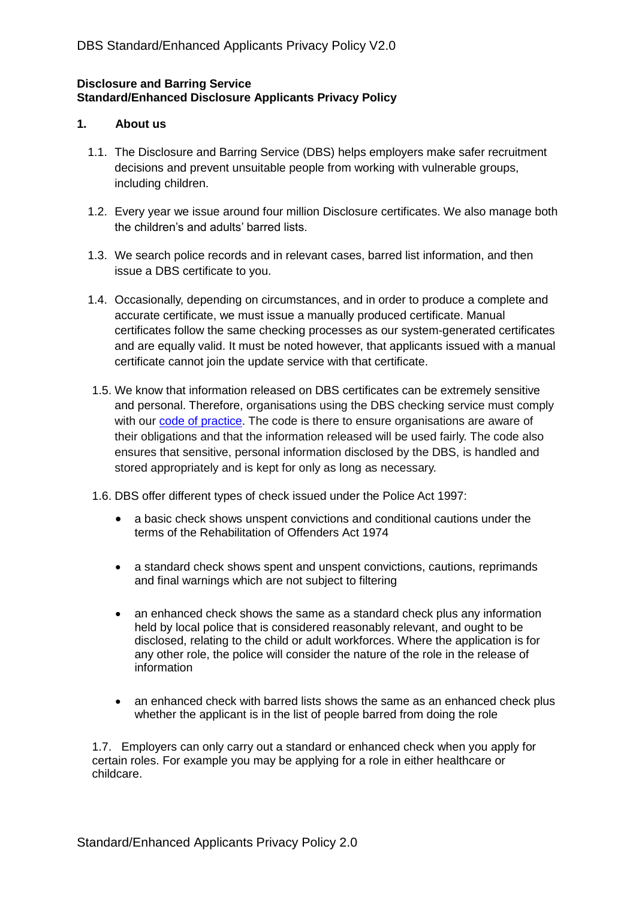# **Disclosure and Barring Service Standard/Enhanced Disclosure Applicants Privacy Policy**

#### **1. About us**

- 1.1. The Disclosure and Barring Service (DBS) helps employers make safer recruitment decisions and prevent unsuitable people from working with vulnerable groups, including children.
- 1.2. Every year we issue around four million Disclosure certificates. We also manage both the children's and adults' barred lists.
- 1.3. We search police records and in relevant cases, barred list information, and then issue a DBS certificate to you.
- 1.4. Occasionally, depending on circumstances, and in order to produce a complete and accurate certificate, we must issue a manually produced certificate. Manual certificates follow the same checking processes as our system-generated certificates and are equally valid. It must be noted however, that applicants issued with a manual certificate cannot join the update service with that certificate.
- 1.5. We know that information released on DBS certificates can be extremely sensitive and personal. Therefore, organisations using the DBS checking service must comply with our [code of practice.](https://www.gov.uk/government/publications/dbs-code-of-practice) The code is there to ensure organisations are aware of their obligations and that the information released will be used fairly. The code also ensures that sensitive, personal information disclosed by the DBS, is handled and stored appropriately and is kept for only as long as necessary.
- 1.6. DBS offer different types of check issued under the Police Act 1997:
	- a basic check shows unspent convictions and conditional cautions under the terms of the Rehabilitation of Offenders Act 1974
	- a standard check shows spent and unspent convictions, cautions, reprimands and final warnings which are not subject to filtering
	- an enhanced check shows the same as a standard check plus any information held by local police that is considered reasonably relevant, and ought to be disclosed, relating to the child or adult workforces. Where the application is for any other role, the police will consider the nature of the role in the release of information
	- an enhanced check with barred lists shows the same as an enhanced check plus whether the applicant is in the list of people barred from doing the role

1.7. Employers can only carry out a standard or enhanced check when you apply for certain roles. For example you may be applying for a role in either healthcare or childcare.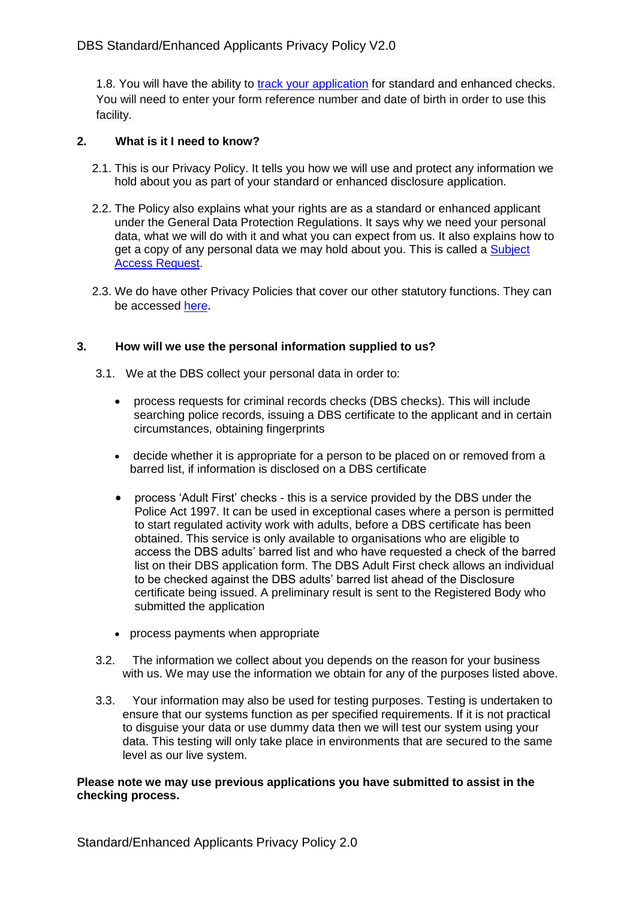1.8. You will have the ability to [track your application](https://secure.crbonline.gov.uk/enquiry/enquirySearch.do) for standard and enhanced checks. You will need to enter your form reference number and date of birth in order to use this facility.

# **2. What is it I need to know?**

- 2.1. This is our Privacy Policy. It tells you how we will use and protect any information we hold about you as part of your standard or enhanced disclosure application.
- 2.2. The Policy also explains what your rights are as a standard or enhanced applicant under the General Data Protection Regulations. It says why we need your personal data, what we will do with it and what you can expect from us. It also explains how to get a copy of any personal data we may hold about you. This is called a Subject [Access Request.](https://www.gov.uk/government/publications/dbs-subject-access-request)
- 2.3. We do have other Privacy Policies that cover our other statutory functions. They can be accessed [here](https://www.gov.uk/government/publications/dbs-privacy-policies).

# **3. How will we use the personal information supplied to us?**

- 3.1. We at the DBS collect your personal data in order to:
	- process requests for criminal records checks (DBS checks). This will include searching police records, issuing a DBS certificate to the applicant and in certain circumstances, obtaining fingerprints
	- decide whether it is appropriate for a person to be placed on or removed from a barred list, if information is disclosed on a DBS certificate
	- process 'Adult First' checks this is a service provided by the DBS under the Police Act 1997. It can be used in exceptional cases where a person is permitted to start regulated activity work with adults, before a DBS certificate has been obtained. This service is only available to organisations who are eligible to access the DBS adults' barred list and who have requested a check of the barred list on their DBS application form. The DBS Adult First check allows an individual to be checked against the DBS adults' barred list ahead of the Disclosure certificate being issued. A preliminary result is sent to the Registered Body who submitted the application
	- process payments when appropriate
- 3.2. The information we collect about you depends on the reason for your business with us. We may use the information we obtain for any of the purposes listed above.
- 3.3. Your information may also be used for testing purposes. Testing is undertaken to ensure that our systems function as per specified requirements. If it is not practical to disguise your data or use dummy data then we will test our system using your data. This testing will only take place in environments that are secured to the same level as our live system.

#### **Please note we may use previous applications you have submitted to assist in the checking process.**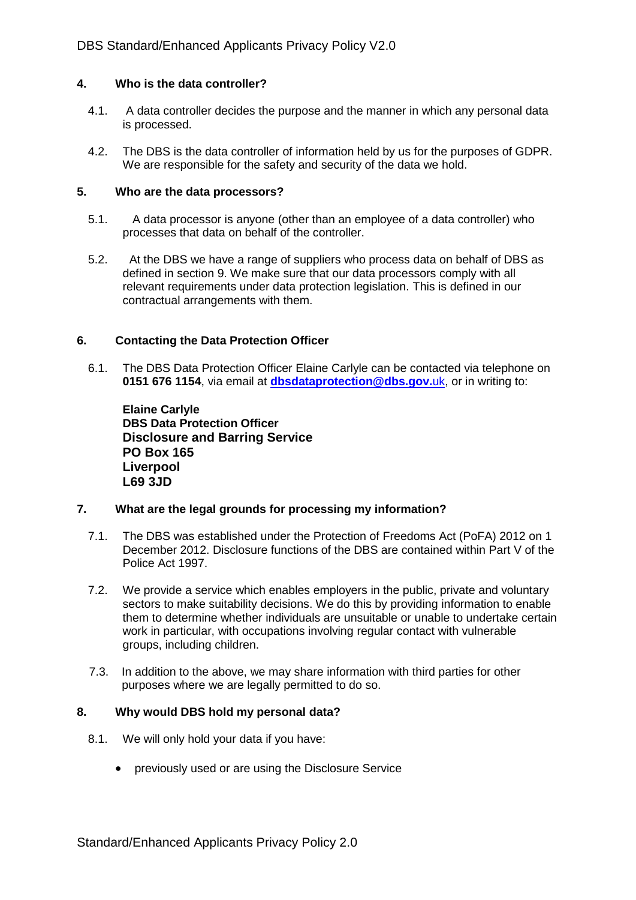#### **4. Who is the data controller?**

- 4.1. A data controller decides the purpose and the manner in which any personal data is processed.
- 4.2. The DBS is the data controller of information held by us for the purposes of GDPR. We are responsible for the safety and security of the data we hold.

#### **5. Who are the data processors?**

- 5.1. A data processor is anyone (other than an employee of a data controller) who processes that data on behalf of the controller.
- 5.2. At the DBS we have a range of suppliers who process data on behalf of DBS as defined in section 9. We make sure that our data processors comply with all relevant requirements under data protection legislation. This is defined in our contractual arrangements with them.

#### **6. Contacting the Data Protection Officer**

6.1. The DBS Data Protection Officer Elaine Carlyle can be contacted via telephone on **0151 676 1154**, via email at **[dbsdataprotection@dbs.gov.](mailto:dbsdataprotection@dbs.gov.uk)**uk, or in writing to:

**Elaine Carlyle DBS Data Protection Officer Disclosure and Barring Service PO Box 165 Liverpool L69 3JD**

# **7. What are the legal grounds for processing my information?**

- 7.1. The DBS was established under the Protection of Freedoms Act (PoFA) 2012 on 1 December 2012. Disclosure functions of the DBS are contained within Part V of the Police Act 1997.
- 7.2. We provide a service which enables employers in the public, private and voluntary sectors to make suitability decisions. We do this by providing information to enable them to determine whether individuals are unsuitable or unable to undertake certain work in particular, with occupations involving regular contact with vulnerable groups, including children.
- 7.3. In addition to the above, we may share information with third parties for other purposes where we are legally permitted to do so.

#### **8. Why would DBS hold my personal data?**

- 8.1. We will only hold your data if you have:
	- previously used or are using the Disclosure Service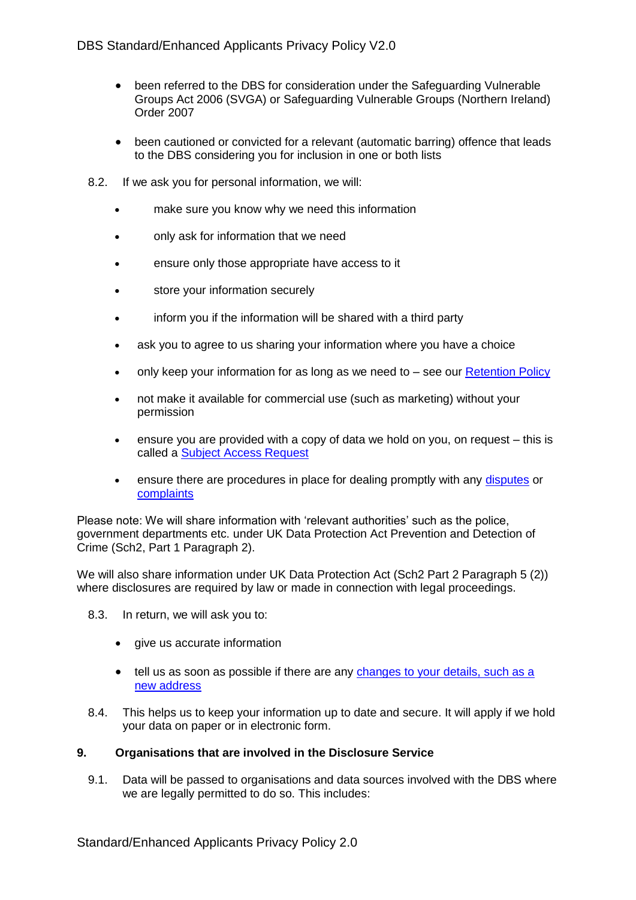- been referred to the DBS for consideration under the Safeguarding Vulnerable Groups Act 2006 (SVGA) or Safeguarding Vulnerable Groups (Northern Ireland) Order 2007
- been cautioned or convicted for a relevant (automatic barring) offence that leads to the DBS considering you for inclusion in one or both lists
- 8.2. If we ask you for personal information, we will:
	- make sure you know why we need this information
	- only ask for information that we need
	- ensure only those appropriate have access to it
	- store your information securely
	- inform you if the information will be shared with a third party
	- ask you to agree to us sharing your information where you have a choice
	- only keep your information for as long as we need to see our [Retention Policy](https://www.gov.uk/government/publications/dbs-data-retention-policy)
	- not make it available for commercial use (such as marketing) without your permission
	- ensure you are provided with a copy of data we hold on you, on request this is called a [Subject Access Request](https://www.gov.uk/government/publications/dbs-subject-access-request)
	- ensure there are procedures in place for dealing promptly with any [disputes](https://www.gov.uk/report-problem-criminal-record-certificate) or [complaints](https://www.gov.uk/government/organisations/disclosure-and-barring-service/about/complaints-procedure)

Please note: We will share information with 'relevant authorities' such as the police, government departments etc. under UK Data Protection Act Prevention and Detection of Crime (Sch2, Part 1 Paragraph 2).

We will also share information under UK Data Protection Act (Sch2 Part 2 Paragraph 5 (2)) where disclosures are required by law or made in connection with legal proceedings.

- 8.3. In return, we will ask you to:
	- give us accurate information
	- tell us as soon as possible if there are any changes to your details, such as a new address
- 8.4. This helps us to keep your information up to date and secure. It will apply if we hold your data on paper or in electronic form.

# **9. Organisations that are involved in the Disclosure Service**

9.1. Data will be passed to organisations and data sources involved with the DBS where we are legally permitted to do so. This includes: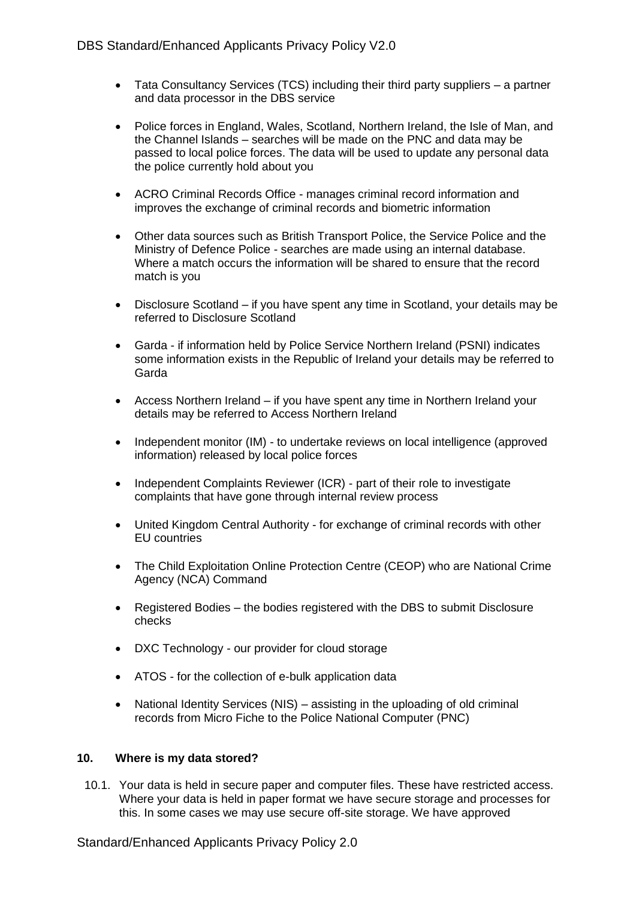- Tata Consultancy Services (TCS) including their third party suppliers a partner and data processor in the DBS service
- Police forces in England, Wales, Scotland, Northern Ireland, the Isle of Man, and the Channel Islands – searches will be made on the PNC and data may be passed to local police forces. The data will be used to update any personal data the police currently hold about you
- ACRO Criminal Records Office manages criminal record information and improves the exchange of criminal records and biometric information
- Other data sources such as British Transport Police, the Service Police and the Ministry of Defence Police - searches are made using an internal database. Where a match occurs the information will be shared to ensure that the record match is you
- Disclosure Scotland if you have spent any time in Scotland, your details may be referred to Disclosure Scotland
- Garda if information held by Police Service Northern Ireland (PSNI) indicates some information exists in the Republic of Ireland your details may be referred to Garda
- Access Northern Ireland if you have spent any time in Northern Ireland your details may be referred to Access Northern Ireland
- Independent monitor (IM) to undertake reviews on local intelligence (approved information) released by local police forces
- Independent Complaints Reviewer (ICR) part of their role to investigate complaints that have gone through internal review process
- United Kingdom Central Authority for exchange of criminal records with other EU countries
- The Child Exploitation Online Protection Centre (CEOP) who are National Crime Agency (NCA) Command
- Registered Bodies the bodies registered with the DBS to submit Disclosure checks
- DXC Technology our provider for cloud storage
- ATOS for the collection of e-bulk application data
- National Identity Services (NIS) assisting in the uploading of old criminal records from Micro Fiche to the Police National Computer (PNC)

# **10. Where is my data stored?**

10.1. Your data is held in secure paper and computer files. These have restricted access. Where your data is held in paper format we have secure storage and processes for this. In some cases we may use secure off-site storage. We have approved

Standard/Enhanced Applicants Privacy Policy 2.0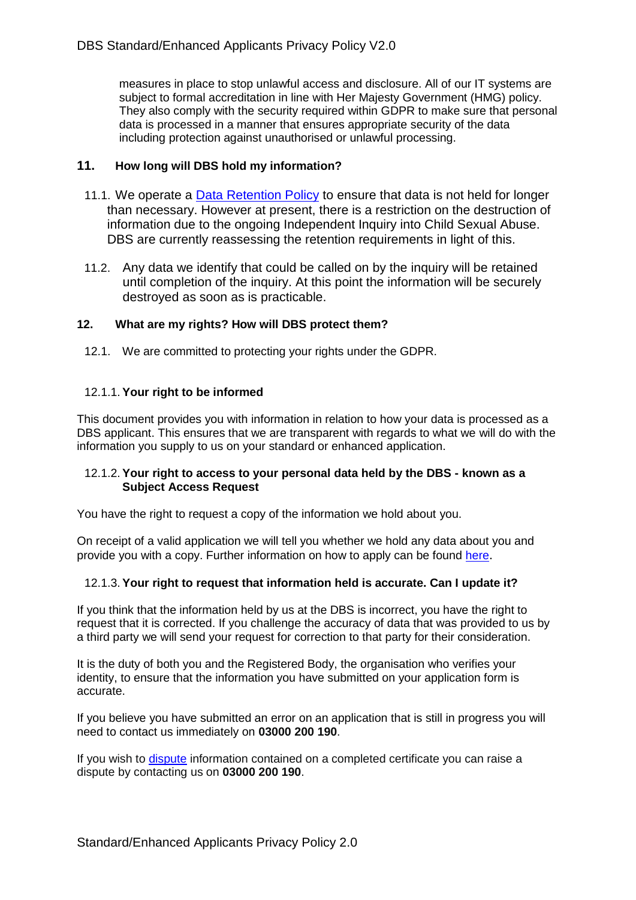measures in place to stop unlawful access and disclosure. All of our IT systems are subject to formal accreditation in line with Her Majesty Government (HMG) policy. They also comply with the security required within GDPR to make sure that personal data is processed in a manner that ensures appropriate security of the data including protection against unauthorised or unlawful processing.

# **11. How long will DBS hold my information?**

- 11.1. We operate a [Data Retention Policy](https://www.gov.uk/government/publications/dbs-data-retention-policy) to ensure that data is not held for longer than necessary. However at present, there is a restriction on the destruction of information due to the ongoing Independent Inquiry into Child Sexual Abuse. DBS are currently reassessing the retention requirements in light of this.
- 11.2. Any data we identify that could be called on by the inquiry will be retained until completion of the inquiry. At this point the information will be securely destroyed as soon as is practicable.

# **12. What are my rights? How will DBS protect them?**

12.1. We are committed to protecting your rights under the GDPR.

# 12.1.1. **Your right to be informed**

This document provides you with information in relation to how your data is processed as a DBS applicant. This ensures that we are transparent with regards to what we will do with the information you supply to us on your standard or enhanced application.

# 12.1.2. **Your right to access to your personal data held by the DBS - known as a Subject Access Request**

You have the right to request a copy of the information we hold about you.

On receipt of a valid application we will tell you whether we hold any data about you and provide you with a copy. Further information on how to apply can be found [here](https://www.gov.uk/government/publications/dbs-subject-access-request).

# 12.1.3. **Your right to request that information held is accurate. Can I update it?**

If you think that the information held by us at the DBS is incorrect, you have the right to request that it is corrected. If you challenge the accuracy of data that was provided to us by a third party we will send your request for correction to that party for their consideration.

It is the duty of both you and the Registered Body, the organisation who verifies your identity, to ensure that the information you have submitted on your application form is accurate.

If you believe you have submitted an error on an application that is still in progress you will need to contact us immediately on **03000 200 190**.

If you wish to [dispute](https://www.gov.uk/report-problem-criminal-record-certificate) information contained on a completed certificate you can raise a dispute by contacting us on **03000 200 190**.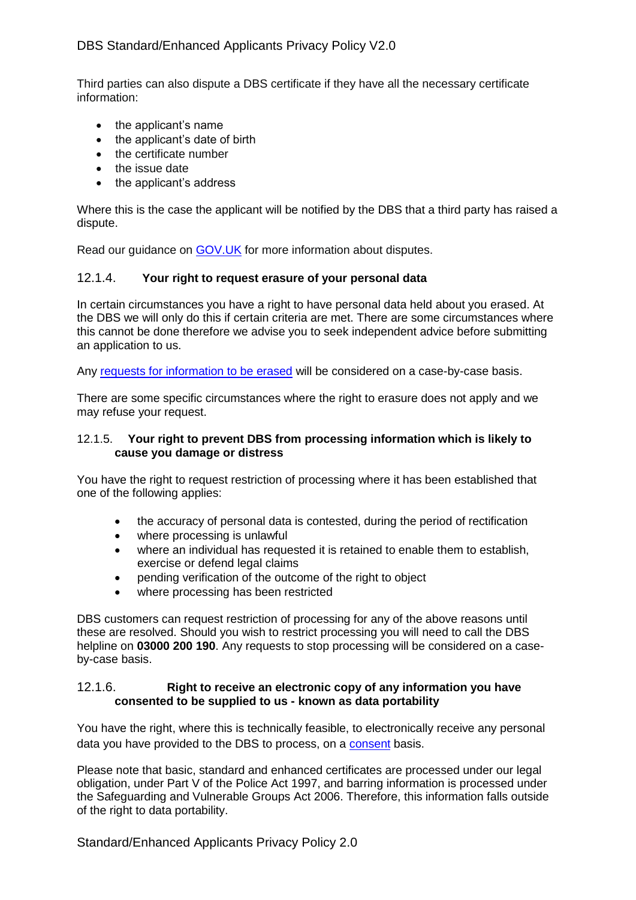Third parties can also dispute a DBS certificate if they have all the necessary certificate information:

- the applicant's name
- the applicant's date of birth
- the certificate number
- the issue date
- the applicant's address

Where this is the case the applicant will be notified by the DBS that a third party has raised a dispute.

Read our guidance on [GOV.UK](https://www.gov.uk/disclosure-barring-service-check/appeals-and-disputes) for more information about disputes.

# 12.1.4. **Your right to request erasure of your personal data**

In certain circumstances you have a right to have personal data held about you erased. At the DBS we will only do this if certain criteria are met. There are some circumstances where this cannot be done therefore we advise you to seek independent advice before submitting an application to us.

Any [requests for information to be erased](https://www.gov.uk/government/publications/deletion-of-data) will be considered on a case-by-case basis.

There are some specific circumstances where the right to erasure does not apply and we may refuse your request.

#### 12.1.5. **Your right to prevent DBS from processing information which is likely to cause you damage or distress**

You have the right to request restriction of processing where it has been established that one of the following applies:

- the accuracy of personal data is contested, during the period of rectification
- where processing is unlawful
- where an individual has requested it is retained to enable them to establish, exercise or defend legal claims
- pending verification of the outcome of the right to object
- where processing has been restricted

DBS customers can request restriction of processing for any of the above reasons until these are resolved. Should you wish to restrict processing you will need to call the DBS helpline on **03000 200 190**. Any requests to stop processing will be considered on a caseby-case basis.

# 12.1.6. **Right to receive an electronic copy of any information you have consented to be supplied to us - known as data portability**

You have the right, where this is technically feasible, to electronically receive any personal data you have provided to the DBS to process, on a [consent](https://www.gov.uk/government/publications/consent-privacy-policy) basis.

Please note that basic, standard and enhanced certificates are processed under our legal obligation, under Part V of the Police Act 1997, and barring information is processed under the Safeguarding and Vulnerable Groups Act 2006. Therefore, this information falls outside of the right to data portability.

Standard/Enhanced Applicants Privacy Policy 2.0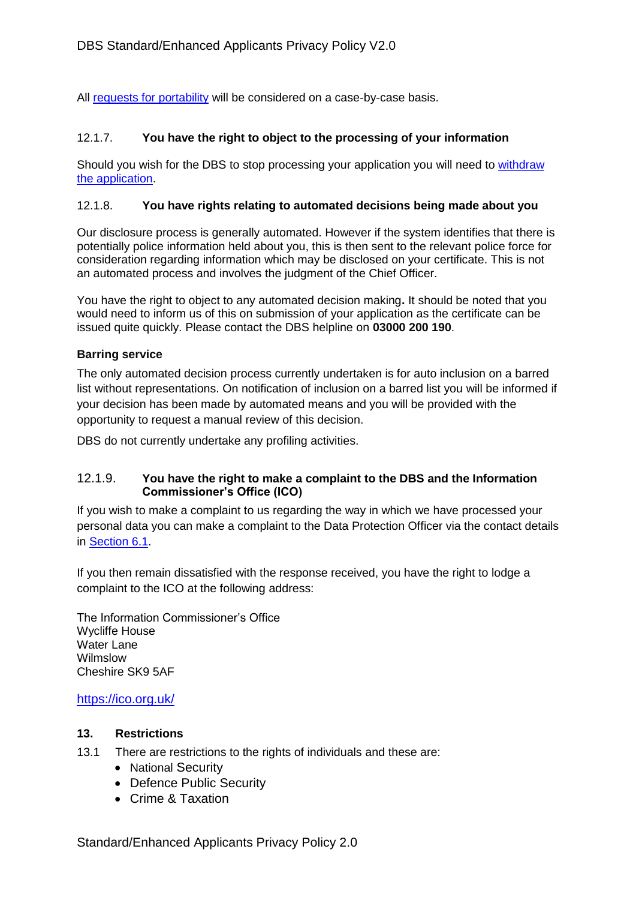All [requests for portability](https://www.gov.uk/government/publications/data-portability) will be considered on a case-by-case basis.

# 12.1.7. **You have the right to object to the processing of your information**

Should you wish for the DBS to stop processing your application you will need to [withdraw](https://www.gov.uk/guidance/dbs-check-requests-guidance-for-employers#withdrawing-applications)  [the application.](https://www.gov.uk/guidance/dbs-check-requests-guidance-for-employers#withdrawing-applications)

# 12.1.8. **You have rights relating to automated decisions being made about you**

Our disclosure process is generally automated. However if the system identifies that there is potentially police information held about you, this is then sent to the relevant police force for consideration regarding information which may be disclosed on your certificate. This is not an automated process and involves the judgment of the Chief Officer.

You have the right to object to any automated decision making**.** It should be noted that you would need to inform us of this on submission of your application as the certificate can be issued quite quickly. Please contact the DBS helpline on **03000 200 190**.

# **Barring service**

The only automated decision process currently undertaken is for auto inclusion on a barred list without representations. On notification of inclusion on a barred list you will be informed if your decision has been made by automated means and you will be provided with the opportunity to request a manual review of this decision.

DBS do not currently undertake any profiling activities.

# 12.1.9. **You have the right to make a complaint to the DBS and the Information Commissioner's Office (ICO)**

If you wish to make a complaint to us regarding the way in which we have processed your personal data you can make a complaint to the Data Protection Officer via the contact details in Section 6.1.

If you then remain dissatisfied with the response received, you have the right to lodge a complaint to the ICO at the following address:

The Information Commissioner's Office Wycliffe House Water Lane Wilmslow Cheshire SK9 5AF

# <https://ico.org.uk/>

# **13. Restrictions**

- 13.1 There are restrictions to the rights of individuals and these are:
	- National Security
	- Defence Public Security
	- Crime & Taxation

Standard/Enhanced Applicants Privacy Policy 2.0